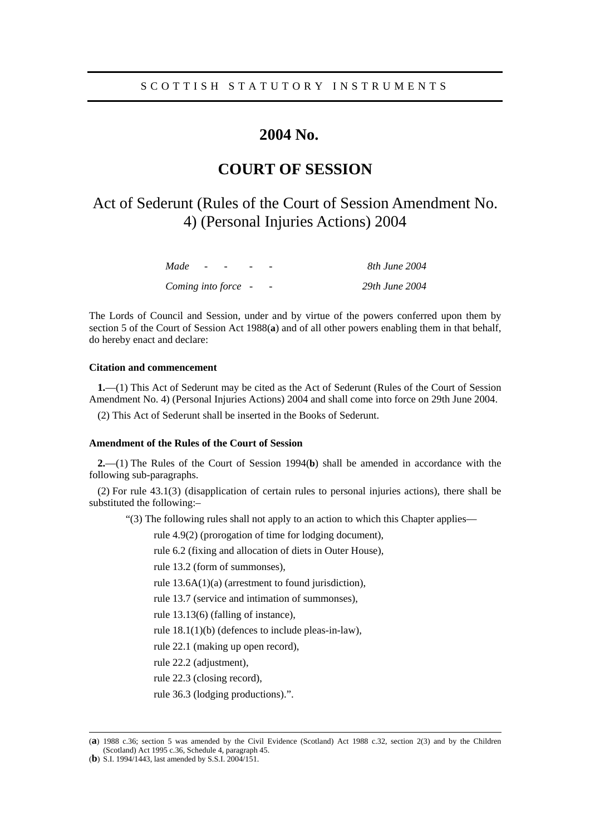## **2004 No.**

## **COURT OF SESSION**

# Act of Sederunt (Rules of the Court of Session Amendment No. 4) (Personal Injuries Actions) 2004

| Made                | $\sim$<br>$\overline{\phantom{0}}$ | $\overline{\phantom{a}}$ | - | 8th June 2004  |
|---------------------|------------------------------------|--------------------------|---|----------------|
| Coming into force - |                                    |                          |   | 29th June 2004 |

The Lords of Council and Session, under and by virtue of the powers conferred upon them by section 5 of the Court of Session Act 1988(**a**) and of all other powers enabling them in that behalf, do hereby enact and declare:

#### **Citation and commencement**

**1.**—(1) This Act of Sederunt may be cited as the Act of Sederunt (Rules of the Court of Session Amendment No. 4) (Personal Injuries Actions) 2004 and shall come into force on 29th June 2004.

(2) This Act of Sederunt shall be inserted in the Books of Sederunt.

#### **Amendment of the Rules of the Court of Session**

**2.**—(1) The Rules of the Court of Session 1994(**[b](#page-0-0)**) shall be amended in accordance with the following sub-paragraphs.

(2) For rule 43.1(3) (disapplication of certain rules to personal injuries actions), there shall be substituted the following:–

"(3) The following rules shall not apply to an action to which this Chapter applies—

rule 4.9(2) (prorogation of time for lodging document),

rule 6.2 (fixing and allocation of diets in Outer House),

rule 13.2 (form of summonses),

rule 13.6A(1)(a) (arrestment to found jurisdiction),

rule 13.7 (service and intimation of summonses),

rule 13.13(6) (falling of instance),

rule 18.1(1)(b) (defences to include pleas-in-law),

rule 22.1 (making up open record),

rule 22.2 (adjustment),

rule 22.3 (closing record),

rule 36.3 (lodging productions).".

 <sup>(</sup>**<sup>a</sup>**) 1988 c.36; section 5 was amended by the Civil Evidence (Scotland) Act 1988 c.32, section 2(3) and by the Children (Scotland) Act 1995 c.36, Schedule 4, paragraph 45.

<span id="page-0-0"></span><sup>(</sup>**b**) S.I. 1994/1443, last amended by S.S.I. 2004/151.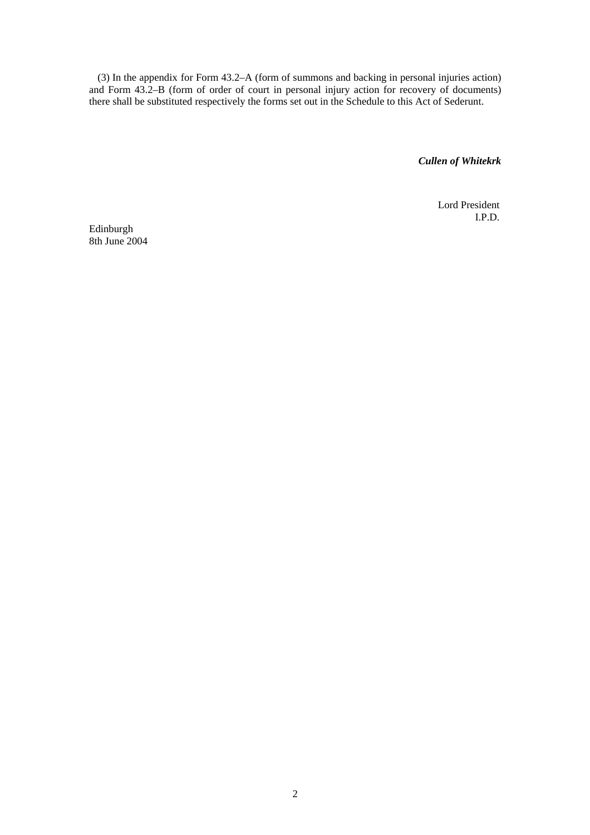(3) In the appendix for Form 43.2–A (form of summons and backing in personal injuries action) and Form 43.2–B (form of order of court in personal injury action for recovery of documents) there shall be substituted respectively the forms set out in the Schedule to this Act of Sederunt.

*Cullen of Whitekrk*

Lord President I.P.D.

Edinburgh 8th June 2004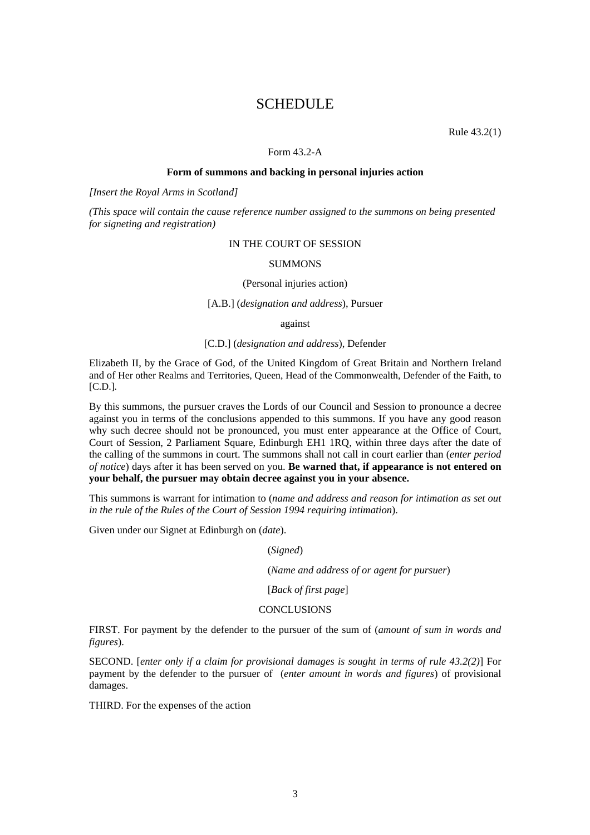## **SCHEDULE**

Rule 43.2(1)

## Form 43.2-A

#### **Form of summons and backing in personal injuries action**

*[Insert the Royal Arms in Scotland]*

*(This space will contain the cause reference number assigned to the summons on being presented for signeting and registration)*

## IN THE COURT OF SESSION

#### **SUMMONS**

#### (Personal injuries action)

#### [A.B.] (*designation and address*), Pursuer

#### against

## [C.D.] (*designation and address*), Defender

Elizabeth II, by the Grace of God, of the United Kingdom of Great Britain and Northern Ireland and of Her other Realms and Territories, Queen, Head of the Commonwealth, Defender of the Faith, to  $[C.D.]$ .

By this summons, the pursuer craves the Lords of our Council and Session to pronounce a decree against you in terms of the conclusions appended to this summons. If you have any good reason why such decree should not be pronounced, you must enter appearance at the Office of Court, Court of Session, 2 Parliament Square, Edinburgh EH1 1RQ, within three days after the date of the calling of the summons in court. The summons shall not call in court earlier than (*enter period of notice*) days after it has been served on you. **Be warned that, if appearance is not entered on your behalf, the pursuer may obtain decree against you in your absence.**

This summons is warrant for intimation to (*name and address and reason for intimation as set out in the rule of the Rules of the Court of Session 1994 requiring intimation*).

Given under our Signet at Edinburgh on (*date*).

#### (*Signed*)

(*Name and address of or agent for pursuer*)

[*Back of first page*]

#### **CONCLUSIONS**

FIRST. For payment by the defender to the pursuer of the sum of (*amount of sum in words and figures*).

SECOND. [*enter only if a claim for provisional damages is sought in terms of rule 43.2(2)*] For payment by the defender to the pursuer of (*enter amount in words and figures*) of provisional damages.

THIRD. For the expenses of the action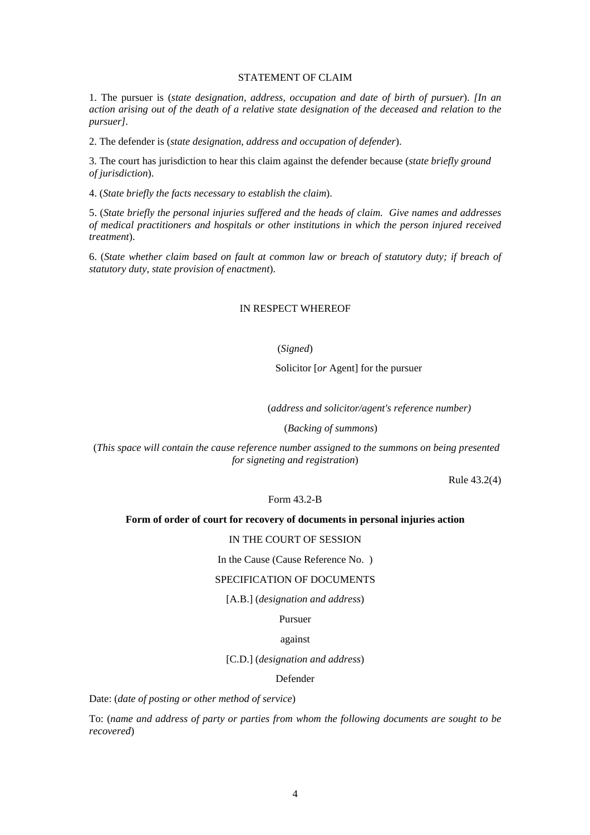#### STATEMENT OF CLAIM

1. The pursuer is (*state designation, address, occupation and date of birth of pursuer*). *[In an action arising out of the death of a relative state designation of the deceased and relation to the pursuer].*

2. The defender is (*state designation, address and occupation of defender*).

3. The court has jurisdiction to hear this claim against the defender because (*state briefly ground of jurisdiction*).

4. (*State briefly the facts necessary to establish the claim*).

5. (*State briefly the personal injuries suffered and the heads of claim. Give names and addresses of medical practitioners and hospitals or other institutions in which the person injured received treatment*).

6. (*State whether claim based on fault at common law or breach of statutory duty; if breach of statutory duty, state provision of enactment*).

#### IN RESPECT WHEREOF

#### (*Signed*)

Solicitor [*or* Agent] for the pursuer

(*address and solicitor/agent's reference number)*

(*Backing of summons*)

 (*This space will contain the cause reference number assigned to the summons on being presented for signeting and registration*)

Rule 43.2(4)

#### Form 43.2-B

## **Form of order of court for recovery of documents in personal injuries action**

## IN THE COURT OF SESSION

## In the Cause (Cause Reference No. )

## SPECIFICATION OF DOCUMENTS

[A.B.] (*designation and address*)

Pursuer

#### against

[C.D.] (*designation and address*)

## Defender

Date: (*date of posting or other method of service*)

To: (*name and address of party or parties from whom the following documents are sought to be recovered*)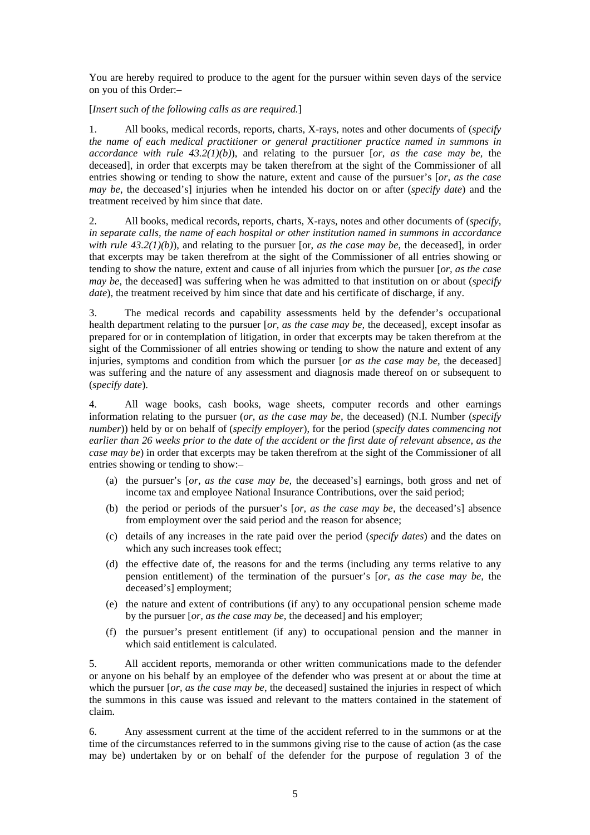You are hereby required to produce to the agent for the pursuer within seven days of the service on you of this Order:–

## [*Insert such of the following calls as are required.*]

1. All books, medical records, reports, charts, X-rays, notes and other documents of (*specify the name of each medical practitioner or general practitioner practice named in summons in accordance with rule 43.2(1)(b))*, and relating to the pursuer [*or, as the case may be, the* deceased], in order that excerpts may be taken therefrom at the sight of the Commissioner of all entries showing or tending to show the nature, extent and cause of the pursuer's [*or, as the case may be*, the deceased's] injuries when he intended his doctor on or after (*specify date*) and the treatment received by him since that date.

2. All books, medical records, reports, charts, X-rays, notes and other documents of (*specify, in separate calls, the name of each hospital or other institution named in summons in accordance with rule 43.2(1)(b)*), and relating to the pursuer [or, *as the case may be*, the deceased], in order that excerpts may be taken therefrom at the sight of the Commissioner of all entries showing or tending to show the nature, extent and cause of all injuries from which the pursuer [*or, as the case may be*, the deceased] was suffering when he was admitted to that institution on or about (*specify date*), the treatment received by him since that date and his certificate of discharge, if any.

3. The medical records and capability assessments held by the defender's occupational health department relating to the pursuer [*or, as the case may be,* the deceased], except insofar as prepared for or in contemplation of litigation, in order that excerpts may be taken therefrom at the sight of the Commissioner of all entries showing or tending to show the nature and extent of any injuries, symptoms and condition from which the pursuer [*or as the case may be*, the deceased] was suffering and the nature of any assessment and diagnosis made thereof on or subsequent to (*specify date*).

4. All wage books, cash books, wage sheets, computer records and other earnings information relating to the pursuer (*or, as the case may be,* the deceased) (N.I. Number (*specify number*)) held by or on behalf of (*specify employer*), for the period (*specify dates commencing not earlier than 26 weeks prior to the date of the accident or the first date of relevant absence, as the case may be*) in order that excerpts may be taken therefrom at the sight of the Commissioner of all entries showing or tending to show:–

- (a) the pursuer's [*or, as the case may be,* the deceased's] earnings, both gross and net of income tax and employee National Insurance Contributions, over the said period;
- (b) the period or periods of the pursuer's [*or, as the case may be,* the deceased's] absence from employment over the said period and the reason for absence;
- (c) details of any increases in the rate paid over the period (*specify dates*) and the dates on which any such increases took effect;
- (d) the effective date of, the reasons for and the terms (including any terms relative to any pension entitlement) of the termination of the pursuer's [*or, as the case may be,* the deceased's] employment;
- (e) the nature and extent of contributions (if any) to any occupational pension scheme made by the pursuer [*or, as the case may be,* the deceased] and his employer;
- (f) the pursuer's present entitlement (if any) to occupational pension and the manner in which said entitlement is calculated.

5. All accident reports, memoranda or other written communications made to the defender or anyone on his behalf by an employee of the defender who was present at or about the time at which the pursuer [*or, as the case may be*, the deceased] sustained the injuries in respect of which the summons in this cause was issued and relevant to the matters contained in the statement of claim.

6. Any assessment current at the time of the accident referred to in the summons or at the time of the circumstances referred to in the summons giving rise to the cause of action (as the case may be) undertaken by or on behalf of the defender for the purpose of regulation 3 of the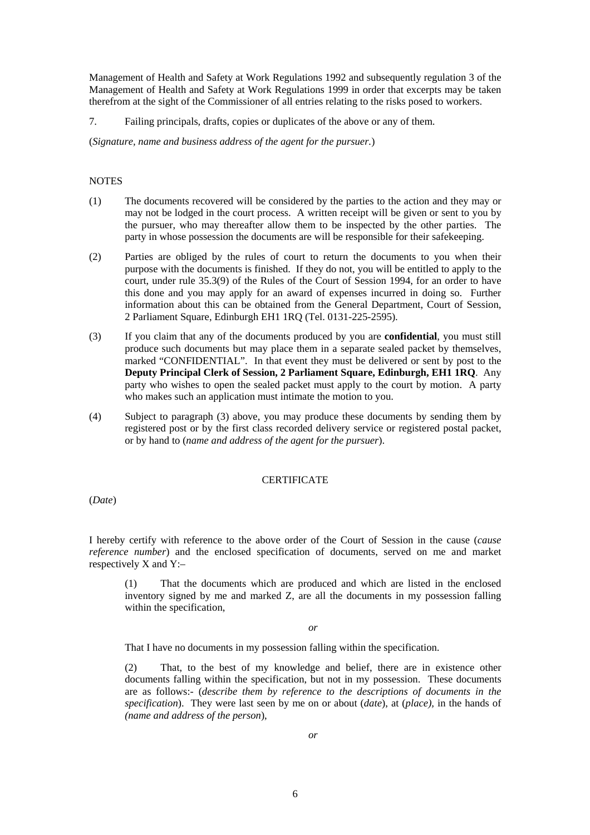Management of Health and Safety at Work Regulations 1992 and subsequently regulation 3 of the Management of Health and Safety at Work Regulations 1999 in order that excerpts may be taken therefrom at the sight of the Commissioner of all entries relating to the risks posed to workers.

7. Failing principals, drafts, copies or duplicates of the above or any of them.

(*Signature, name and business address of the agent for the pursuer.*)

## **NOTES**

- (1) The documents recovered will be considered by the parties to the action and they may or may not be lodged in the court process. A written receipt will be given or sent to you by the pursuer, who may thereafter allow them to be inspected by the other parties. The party in whose possession the documents are will be responsible for their safekeeping.
- (2) Parties are obliged by the rules of court to return the documents to you when their purpose with the documents is finished. If they do not, you will be entitled to apply to the court, under rule 35.3(9) of the Rules of the Court of Session 1994, for an order to have this done and you may apply for an award of expenses incurred in doing so. Further information about this can be obtained from the General Department, Court of Session, 2 Parliament Square, Edinburgh EH1 1RQ (Tel. 0131-225-2595).
- (3) If you claim that any of the documents produced by you are **confidential**, you must still produce such documents but may place them in a separate sealed packet by themselves, marked "CONFIDENTIAL". In that event they must be delivered or sent by post to the **Deputy Principal Clerk of Session, 2 Parliament Square, Edinburgh, EH1 1RQ**. Any party who wishes to open the sealed packet must apply to the court by motion. A party who makes such an application must intimate the motion to you.
- (4) Subject to paragraph (3) above, you may produce these documents by sending them by registered post or by the first class recorded delivery service or registered postal packet, or by hand to (*name and address of the agent for the pursuer*).

#### **CERTIFICATE**

(*Date*)

I hereby certify with reference to the above order of the Court of Session in the cause (*cause reference number*) and the enclosed specification of documents, served on me and market respectively X and Y:–

(1) That the documents which are produced and which are listed in the enclosed inventory signed by me and marked Z, are all the documents in my possession falling within the specification,

*or*

That I have no documents in my possession falling within the specification.

(2) That, to the best of my knowledge and belief, there are in existence other documents falling within the specification, but not in my possession. These documents are as follows:- (*describe them by reference to the descriptions of documents in the specification*). They were last seen by me on or about (*date*), at (*place),* in the hands of *(name and address of the person*),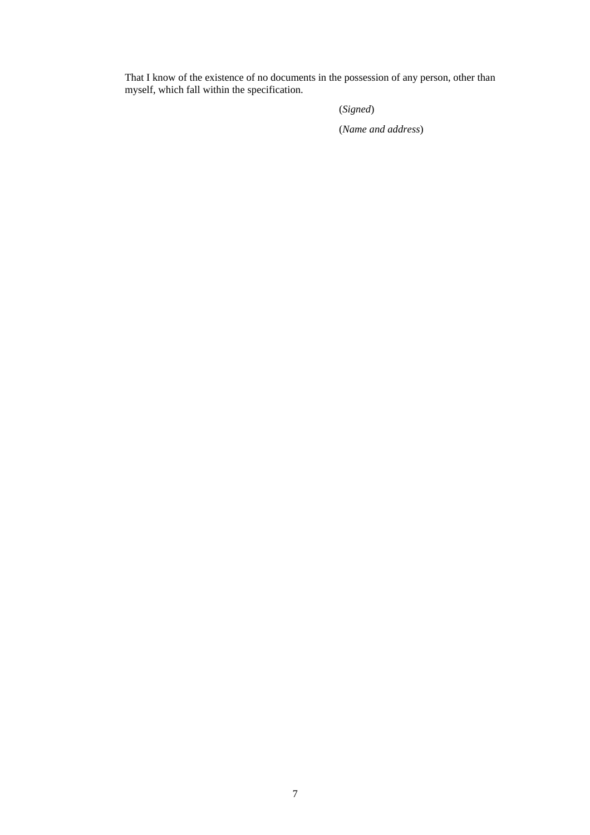That I know of the existence of no documents in the possession of any person, other than myself, which fall within the specification.

(*Signed*)

(*Name and address*)